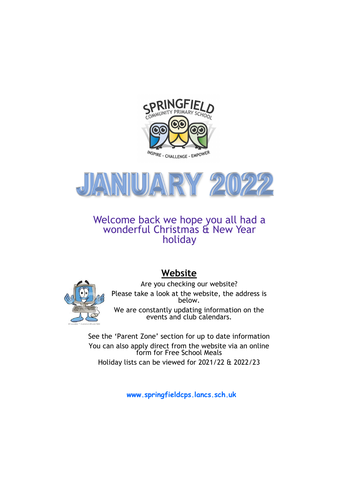



Welcome back we hope you all had a wonderful Christmas & New Year holiday



# **Website**

Are you checking our website? Please take a look at the website, the address is below.

We are constantly updating information on the events and club calendars.

See the 'Parent Zone' section for up to date information You can also apply direct from the website via an online form for Free School Meals Holiday lists can be viewed for 2021/22 & 2022/23

**www.springfieldcps.lancs.sch.uk**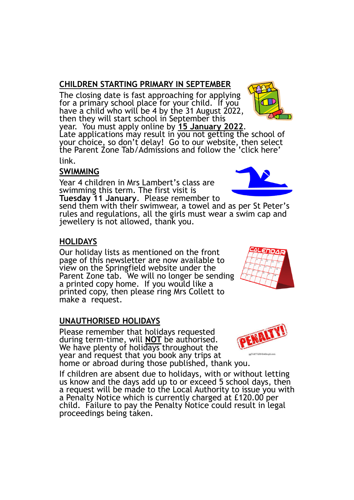# **CHILDREN STARTING PRIMARY IN SEPTEMBER**

The closing date is fast approaching for applying for a primary school place for your child. If you have a child who will be 4 by the 31 August 2022, then they will start school in September this

year. You must apply online by **15 January 2022**. Late applications may result in you not getting the school of your choice, so don't delay! Go to our website, then select the Parent Zone Tab/Admissions and follow the 'click here' link.

#### **SWIMMING**

Year 4 children in Mrs Lambert's class are swimming this term. The first visit is **Tuesday 11 January**. Please remember to

send them with their swimwear, a towel and as per St Peter's rules and regulations, all the girls must wear a swim cap and jewellery is not allowed, thank you.

#### **HOLIDAYS**

Our holiday lists as mentioned on the front page of this newsletter are now available to view on the Springfield website under the Parent Zone tab. We will no longer be sending a printed copy home. If you would like a printed copy, then please ring Mrs Collett to make a request.

#### **UNAUTHORISED HOLIDAYS**

Please remember that holidays requested during term-time, will **NOT** be authorised. We have plenty of holidays throughout the year and request that you book any trips at home or abroad during those published, thank you.

If children are absent due to holidays, with or without letting us know and the days add up to or exceed 5 school days, then a request will be made to the Local Authority to issue you with a Penalty Notice which is currently charged at £120.00 per child. Failure to pay the Penalty Notice could result in legal proceedings being taken.









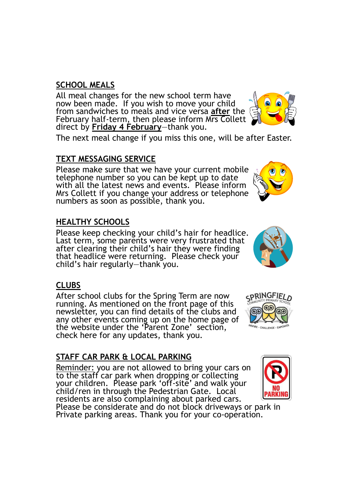### **SCHOOL MEALS**

All meal changes for the new school term have now been made. If you wish to move your child from sandwiches to meals and vice versa **after** the February half-term, then please inform Mrs Collett direct by **Friday 4 February**—thank you.

The next meal change if you miss this one, will be after Easter.

## **TEXT MESSAGING SERVICE**

Please make sure that we have your current mobile telephone number so you can be kept up to date with all the latest news and events. Please inform Mrs Collett if you change your address or telephone numbers as soon as possible, thank you.

## **HEALTHY SCHOOLS**

Please keep checking your child's hair for headlice. Last term, some parents were very frustrated that after clearing their child's hair they were finding that headlice were returning. Please check your child's hair regularly—thank you.

#### **CLUBS**

After school clubs for the Spring Term are now running. As mentioned on the front page of this newsletter, you can find details of the clubs and any other events coming up on the home page of the website under the 'Parent Zone' section, check here for any updates, thank you.

# **STAFF CAR PARK & LOCAL PARKING**

Reminder: you are not allowed to bring your cars on to the staff car park when dropping or collecting your children. Please park 'off-site' and walk your child/ren in through the Pedestrian Gate. Local residents are also complaining about parked cars. Please be considerate and do not block driveways or park in Private parking areas. Thank you for your co-operation.